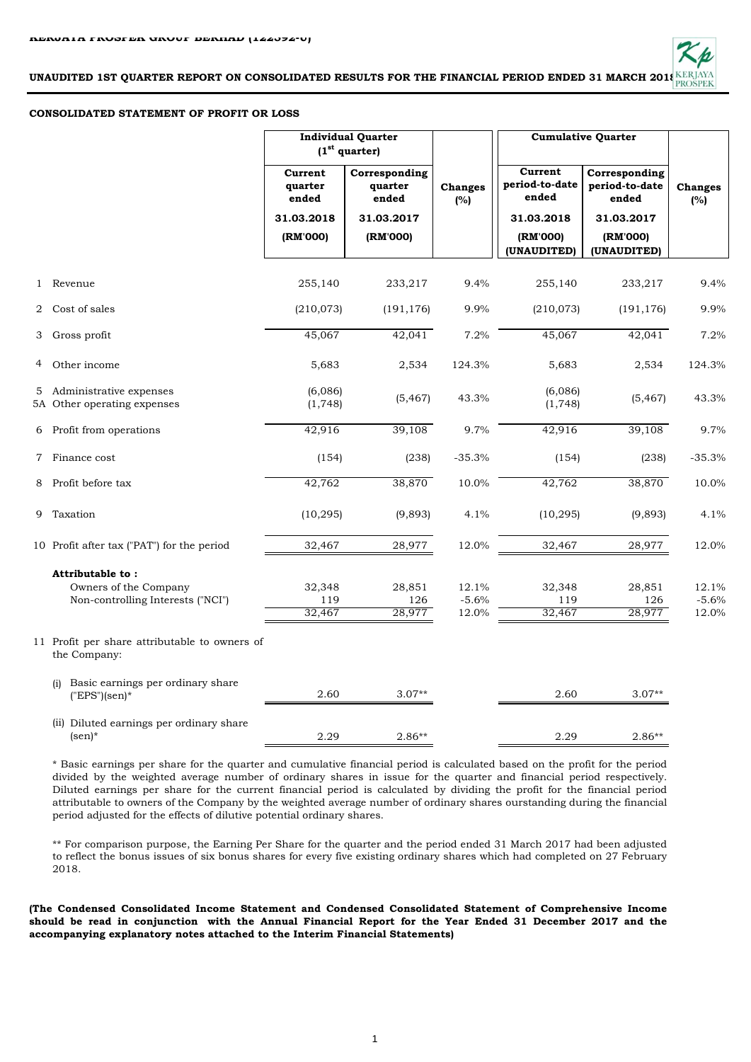

## **CONSOLIDATED STATEMENT OF PROFIT OR LOSS**

|   |                                                                                |                             | <b>Individual Quarter</b><br>(1 <sup>st</sup> quarter) |                           | <b>Cumulative Quarter</b>          |                                          |                           |
|---|--------------------------------------------------------------------------------|-----------------------------|--------------------------------------------------------|---------------------------|------------------------------------|------------------------------------------|---------------------------|
|   |                                                                                | Current<br>quarter<br>ended | Corresponding<br>quarter<br>ended                      | <b>Changes</b><br>(%)     | Current<br>period-to-date<br>ended | Corresponding<br>period-to-date<br>ended | <b>Changes</b><br>(%)     |
|   |                                                                                | 31.03.2018                  | 31.03.2017                                             |                           | 31.03.2018                         | 31.03.2017                               |                           |
|   |                                                                                | (RM'000)                    | (RM'000)                                               |                           | (RM'000)<br>(UNAUDITED)            | (RM'000)<br>(UNAUDITED)                  |                           |
|   | 1 Revenue                                                                      | 255,140                     | 233,217                                                | 9.4%                      | 255,140                            | 233,217                                  | 9.4%                      |
| 2 | Cost of sales                                                                  | (210, 073)                  | (191, 176)                                             | 9.9%                      | (210, 073)                         | (191, 176)                               | 9.9%                      |
| 3 | Gross profit                                                                   | 45,067                      | 42,041                                                 | 7.2%                      | 45,067                             | 42,041                                   | 7.2%                      |
| 4 | Other income                                                                   | 5,683                       | 2,534                                                  | 124.3%                    | 5,683                              | 2,534                                    | 124.3%                    |
| 5 | Administrative expenses<br>5A Other operating expenses                         | (6,086)<br>(1, 748)         | (5, 467)                                               | 43.3%                     | (6,086)<br>(1, 748)                | (5, 467)                                 | 43.3%                     |
|   | 6 Profit from operations                                                       | 42,916                      | 39,108                                                 | 9.7%                      | 42,916                             | 39,108                                   | 9.7%                      |
| 7 | Finance cost                                                                   | (154)                       | (238)                                                  | $-35.3%$                  | (154)                              | (238)                                    | $-35.3%$                  |
| 8 | Profit before tax                                                              | 42,762                      | 38,870                                                 | 10.0%                     | 42,762                             | 38,870                                   | 10.0%                     |
| 9 | Taxation                                                                       | (10, 295)                   | (9,893)                                                | 4.1%                      | (10, 295)                          | (9,893)                                  | 4.1%                      |
|   | 10 Profit after tax ("PAT") for the period                                     | 32,467                      | 28,977                                                 | 12.0%                     | 32,467                             | 28,977                                   | 12.0%                     |
|   | Attributable to:<br>Owners of the Company<br>Non-controlling Interests ("NCI") | 32,348<br>119<br>32,467     | 28,851<br>126<br>28,977                                | 12.1%<br>$-5.6%$<br>12.0% | 32,348<br>119<br>32,467            | 28,851<br>126<br>28,977                  | 12.1%<br>$-5.6%$<br>12.0% |
|   | 11 Profit per share attributable to owners of<br>the Company:                  |                             |                                                        |                           |                                    |                                          |                           |
|   | Basic earnings per ordinary share<br>(i)<br>$("EPS"(sen)*$                     | 2.60                        | $3.07**$                                               |                           | 2.60                               | $3.07**$                                 |                           |
|   | (ii) Diluted earnings per ordinary share<br>$(sen)*$                           | 2.29                        | $2.86**$                                               |                           | 2.29                               | $2.86**$                                 |                           |

\* Basic earnings per share for the quarter and cumulative financial period is calculated based on the profit for the period divided by the weighted average number of ordinary shares in issue for the quarter and financial period respectively. Diluted earnings per share for the current financial period is calculated by dividing the profit for the financial period attributable to owners of the Company by the weighted average number of ordinary shares ourstanding during the financial period adjusted for the effects of dilutive potential ordinary shares.

\*\* For comparison purpose, the Earning Per Share for the quarter and the period ended 31 March 2017 had been adjusted to reflect the bonus issues of six bonus shares for every five existing ordinary shares which had completed on 27 February 2018.

**(The Condensed Consolidated Income Statement and Condensed Consolidated Statement of Comprehensive Income** should be read in conjunction with the Annual Financial Report for the Year Ended 31 December 2017 and the **accompanying explanatory notes attached to the Interim Financial Statements)**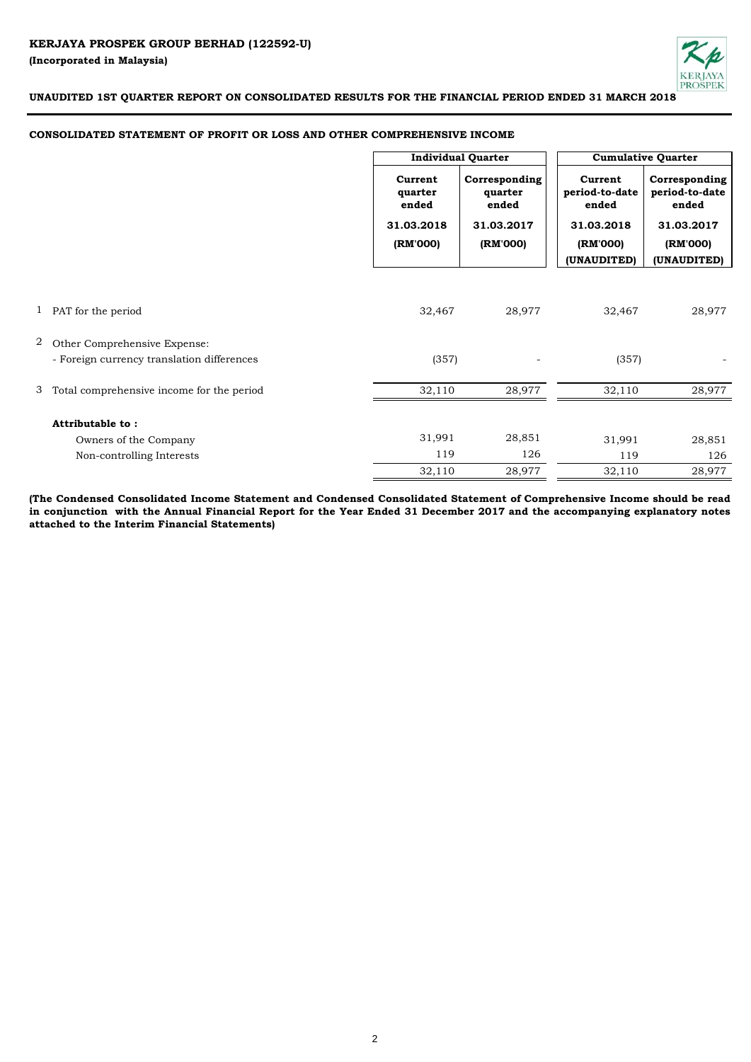

## **CONSOLIDATED STATEMENT OF PROFIT OR LOSS AND OTHER COMPREHENSIVE INCOME**

|   |                                            | <b>Individual Quarter</b>                             |                                                             |                                                              | <b>Cumulative Quarter</b>                                          |
|---|--------------------------------------------|-------------------------------------------------------|-------------------------------------------------------------|--------------------------------------------------------------|--------------------------------------------------------------------|
|   |                                            | Current<br>quarter<br>ended<br>31.03.2018<br>(RM'000) | Corresponding<br>quarter<br>ended<br>31.03.2017<br>(RM'000) | Current<br>period-to-date<br>ended<br>31.03.2018<br>(RM'000) | Corresponding<br>period-to-date<br>ended<br>31.03.2017<br>(RM'000) |
|   |                                            |                                                       |                                                             | (UNAUDITED)                                                  | (UNAUDITED)                                                        |
|   | 1 PAT for the period                       | 32,467                                                | 28,977                                                      | 32,467                                                       | 28,977                                                             |
| 2 | Other Comprehensive Expense:               |                                                       |                                                             |                                                              |                                                                    |
|   | - Foreign currency translation differences | (357)                                                 |                                                             | (357)                                                        |                                                                    |
| 3 | Total comprehensive income for the period  | 32,110                                                | 28,977                                                      | 32,110                                                       | 28,977                                                             |
|   | Attributable to:                           |                                                       |                                                             |                                                              |                                                                    |
|   | Owners of the Company                      | 31,991                                                | 28,851                                                      | 31,991                                                       | 28,851                                                             |
|   | Non-controlling Interests                  | 119                                                   | 126                                                         | 119                                                          | 126                                                                |
|   |                                            | 32,110                                                | 28,977                                                      | 32,110                                                       | 28,977                                                             |

(The Condensed Consolidated Income Statement and Condensed Consolidated Statement of Comprehensive Income should be read in conjunction with the Annual Financial Report for the Year Ended 31 December 2017 and the accompanying explanatory notes **attached to the Interim Financial Statements)**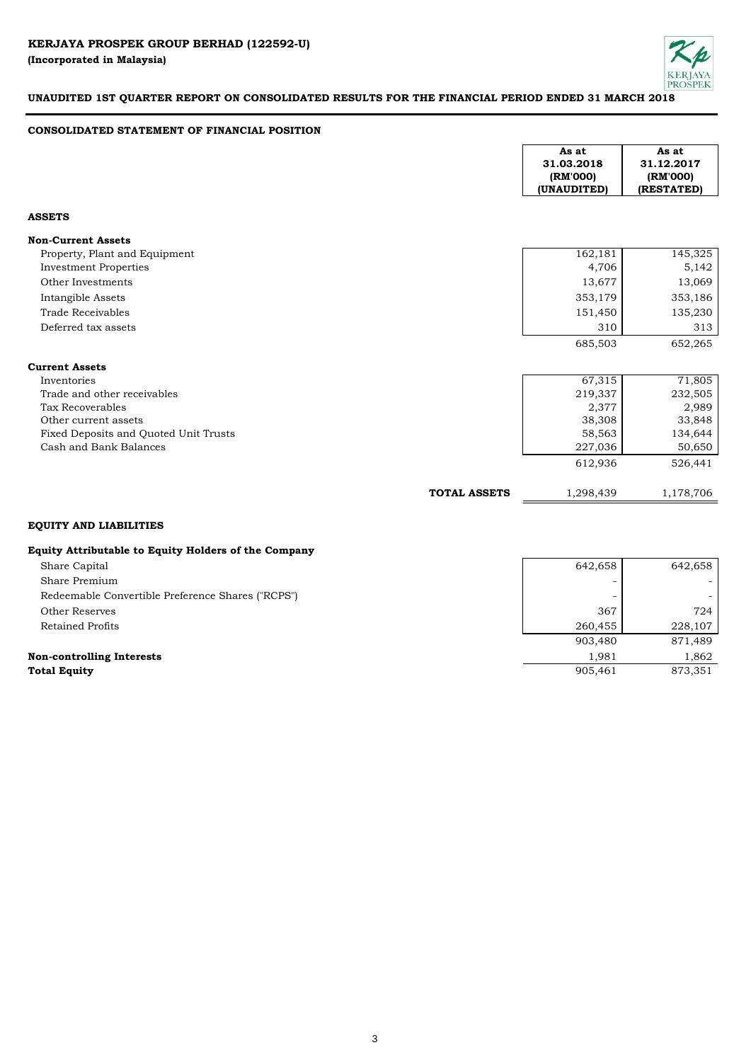

## **CONSOLIDATED STATEMENT OF FINANCIAL POSITION**

|                                       | As at<br>31.03.2018<br>(RM'000)<br>(UNAUDITED) | As at<br>31.12.2017<br>(RM'000)<br>(RESTATED) |
|---------------------------------------|------------------------------------------------|-----------------------------------------------|
| <b>ASSETS</b>                         |                                                |                                               |
| <b>Non-Current Assets</b>             |                                                |                                               |
| Property, Plant and Equipment         | 162,181                                        | 145,325                                       |
| <b>Investment Properties</b>          | 4,706                                          | 5,142                                         |
| Other Investments                     | 13,677                                         | 13,069                                        |
| Intangible Assets                     | 353,179                                        | 353,186                                       |
| Trade Receivables                     | 151,450                                        | 135,230                                       |
| Deferred tax assets                   | 310                                            | 313                                           |
|                                       | 685,503                                        | 652,265                                       |
| <b>Current Assets</b>                 |                                                |                                               |
| Inventories                           | 67,315                                         | 71,805                                        |
| Trade and other receivables           | 219,337                                        | 232,505                                       |
| Tax Recoverables                      | 2,377                                          | 2,989                                         |
| Other current assets                  | 38,308                                         | 33,848                                        |
| Fixed Deposits and Quoted Unit Trusts | 58,563                                         | 134,644                                       |
| Cash and Bank Balances                | 227,036                                        | 50,650                                        |
|                                       | 612,936                                        | 526,441                                       |
| <b>TOTAL ASSETS</b>                   | 1,298,439                                      | 1,178,706                                     |

# **EQUITY AND LIABILITIES**

# **Equity Attributable to Equity Holders of the Company**

| Share Capital                                     | 642,658 | 642,658 |
|---------------------------------------------------|---------|---------|
| Share Premium                                     |         |         |
| Redeemable Convertible Preference Shares ("RCPS") |         |         |
| Other Reserves                                    | 367     | 724     |
| Retained Profits                                  | 260,455 | 228,107 |
|                                                   | 903,480 | 871,489 |
| <b>Non-controlling Interests</b>                  | 1.981   | 1.862   |
| <b>Total Equity</b>                               | 905.461 | 873.351 |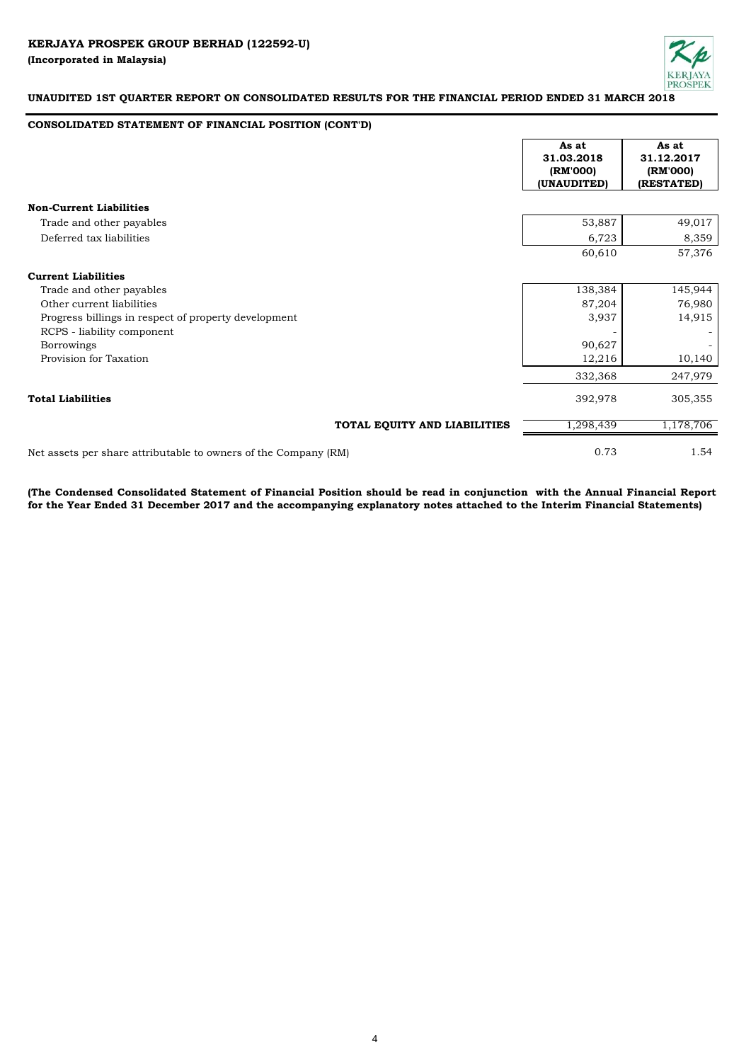

# **CONSOLIDATED STATEMENT OF FINANCIAL POSITION (CONT'D)**

|                                                                 | As at<br>31.03.2018<br>(RM'000)<br>(UNAUDITED) | As at<br>31.12.2017<br>(RM'000)<br>(RESTATED) |
|-----------------------------------------------------------------|------------------------------------------------|-----------------------------------------------|
| <b>Non-Current Liabilities</b>                                  |                                                |                                               |
| Trade and other payables                                        | 53,887                                         | 49,017                                        |
| Deferred tax liabilities                                        | 6,723                                          | 8,359                                         |
|                                                                 | 60,610                                         | 57,376                                        |
| <b>Current Liabilities</b>                                      |                                                |                                               |
| Trade and other payables                                        | 138,384                                        | 145,944                                       |
| Other current liabilities                                       | 87,204                                         | 76,980                                        |
| Progress billings in respect of property development            | 3,937                                          | 14,915                                        |
| RCPS - liability component                                      |                                                |                                               |
| <b>Borrowings</b>                                               | 90,627                                         |                                               |
| Provision for Taxation                                          | 12,216                                         | 10,140                                        |
|                                                                 | 332,368                                        | 247,979                                       |
| <b>Total Liabilities</b>                                        | 392,978                                        | 305,355                                       |
| TOTAL EQUITY AND LIABILITIES                                    | 1,298,439                                      | 1,178,706                                     |
| Net assets per share attributable to owners of the Company (RM) | 0.73                                           | 1.54                                          |

(The Condensed Consolidated Statement of Financial Position should be read in conjunction with the Annual Financial Report **for the Year Ended 31 December 2017 and the accompanying explanatory notes attached to the Interim Financial Statements)**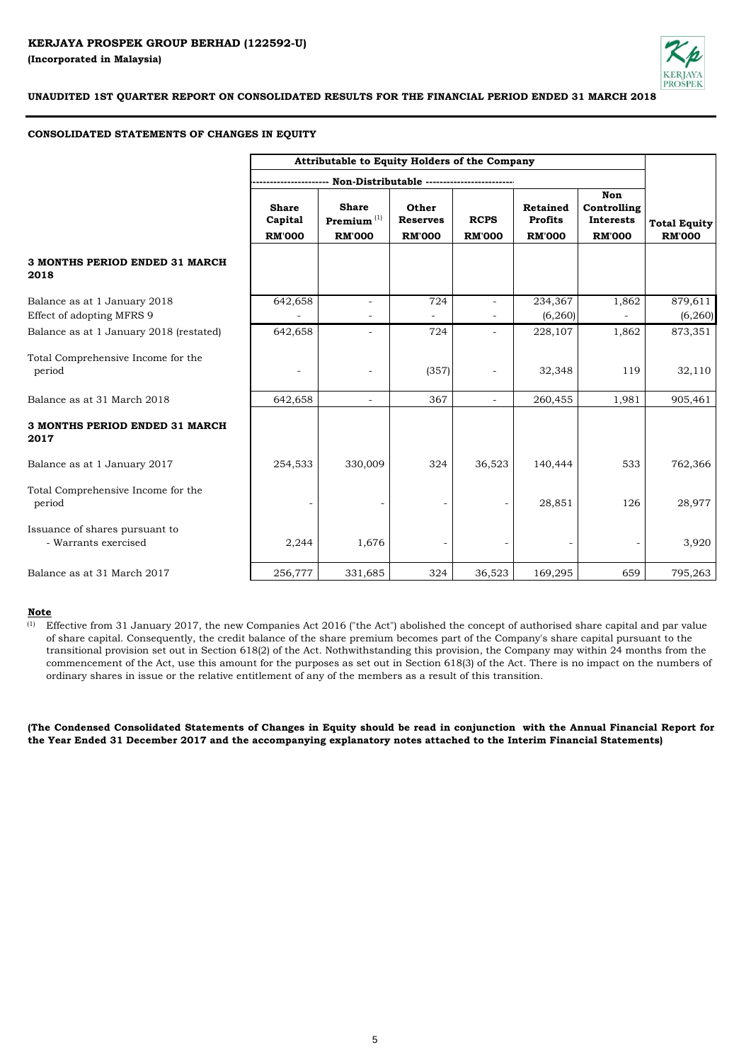

## **CONSOLIDATED STATEMENTS OF CHANGES IN EQUITY**

|                                                           | Attributable to Equity Holders of the Company |                                                           |                                           |                              |                                             |                                                         |                                      |
|-----------------------------------------------------------|-----------------------------------------------|-----------------------------------------------------------|-------------------------------------------|------------------------------|---------------------------------------------|---------------------------------------------------------|--------------------------------------|
|                                                           |                                               |                                                           | Non-Distributable ----------------        |                              |                                             |                                                         |                                      |
|                                                           | <b>Share</b><br>Capital<br><b>RM'000</b>      | <b>Share</b><br>$\mathbf{Premium}^{(1)}$<br><b>RM'000</b> | Other<br><b>Reserves</b><br><b>RM'000</b> | <b>RCPS</b><br><b>RM'000</b> | Retained<br><b>Profits</b><br><b>RM'000</b> | Non<br>Controlling<br><b>Interests</b><br><b>RM'000</b> | <b>Total Equity</b><br><b>RM'000</b> |
| 3 MONTHS PERIOD ENDED 31 MARCH<br>2018                    |                                               |                                                           |                                           |                              |                                             |                                                         |                                      |
| Balance as at 1 January 2018<br>Effect of adopting MFRS 9 | 642,658                                       | $\blacksquare$                                            | 724                                       |                              | 234,367<br>(6, 260)                         | 1,862                                                   | 879,611<br>(6, 260)                  |
| Balance as at 1 January 2018 (restated)                   | 642,658                                       | $\overline{\phantom{a}}$                                  | 724                                       |                              | 228,107                                     | 1,862                                                   | 873,351                              |
| Total Comprehensive Income for the<br>period              |                                               | $\qquad \qquad -$                                         | (357)                                     |                              | 32,348                                      | 119                                                     | 32,110                               |
| Balance as at 31 March 2018                               | 642,658                                       | $\overline{\phantom{a}}$                                  | 367                                       | ÷                            | 260,455                                     | 1,981                                                   | 905,461                              |
| 3 MONTHS PERIOD ENDED 31 MARCH<br>2017                    |                                               |                                                           |                                           |                              |                                             |                                                         |                                      |
| Balance as at 1 January 2017                              | 254,533                                       | 330,009                                                   | 324                                       | 36,523                       | 140,444                                     | 533                                                     | 762,366                              |
| Total Comprehensive Income for the<br>period              |                                               |                                                           |                                           |                              | 28,851                                      | 126                                                     | 28,977                               |
| Issuance of shares pursuant to<br>- Warrants exercised    | 2,244                                         | 1,676                                                     |                                           |                              |                                             |                                                         | 3,920                                |
| Balance as at 31 March 2017                               | 256,777                                       | 331,685                                                   | 324                                       | 36,523                       | 169,295                                     | 659                                                     | 795,263                              |

# **Note**

(1) Effective from 31 January 2017, the new Companies Act 2016 ("the Act") abolished the concept of authorised share capital and par value of share capital. Consequently, the credit balance of the share premium becomes part of the Company's share capital pursuant to the transitional provision set out in Section 618(2) of the Act. Nothwithstanding this provision, the Company may within 24 months from the commencement of the Act, use this amount for the purposes as set out in Section 618(3) of the Act. There is no impact on the numbers of ordinary shares in issue or the relative entitlement of any of the members as a result of this transition.

(The Condensed Consolidated Statements of Changes in Equity should be read in conjunction with the Annual Financial Report for **the Year Ended 31 December 2017 and the accompanying explanatory notes attached to the Interim Financial Statements)**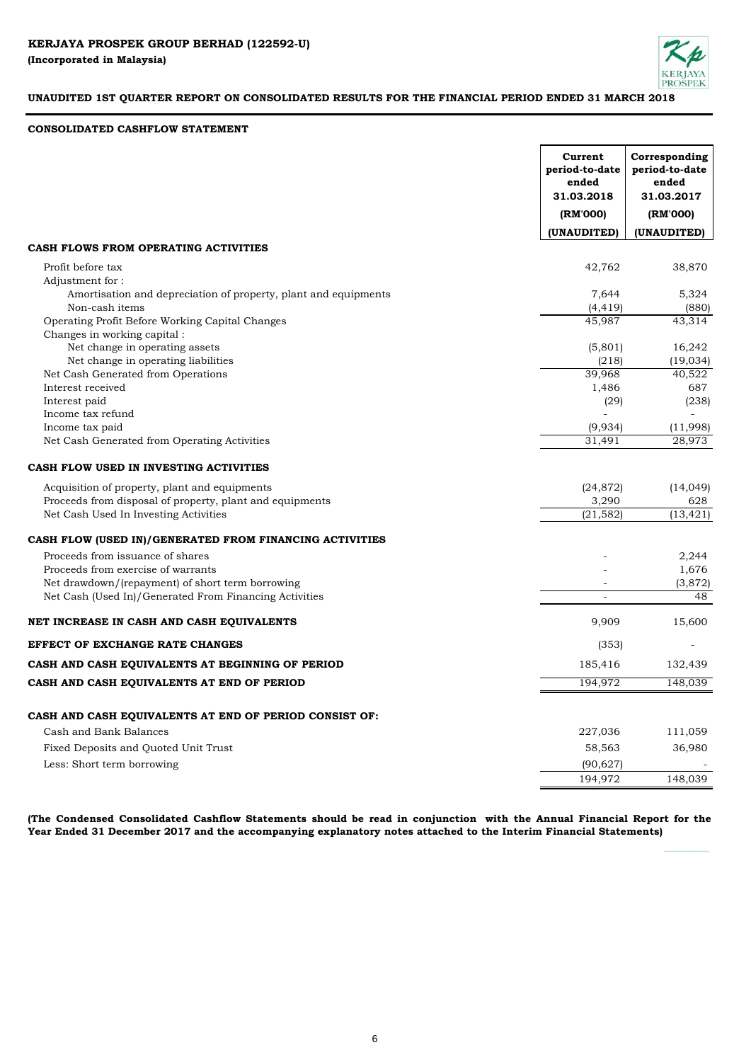

# **CONSOLIDATED CASHFLOW STATEMENT**

|                                                                                   | Current<br>period-to-date<br>ended<br>31.03.2018 | Corresponding<br>period-to-date<br>ended<br>31.03.2017 |
|-----------------------------------------------------------------------------------|--------------------------------------------------|--------------------------------------------------------|
|                                                                                   | (RM'000)                                         | (RM'000)                                               |
|                                                                                   | (UNAUDITED)                                      | (UNAUDITED)                                            |
| CASH FLOWS FROM OPERATING ACTIVITIES                                              |                                                  |                                                        |
| Profit before tax                                                                 | 42,762                                           | 38,870                                                 |
| Adjustment for:                                                                   |                                                  |                                                        |
| Amortisation and depreciation of property, plant and equipments<br>Non-cash items | 7,644<br>(4, 419)                                | 5,324<br>(880)                                         |
| Operating Profit Before Working Capital Changes                                   | 45,987                                           | 43,314                                                 |
| Changes in working capital :                                                      |                                                  |                                                        |
| Net change in operating assets                                                    | (5,801)                                          | 16,242                                                 |
| Net change in operating liabilities                                               | (218)                                            | (19, 034)                                              |
| Net Cash Generated from Operations                                                | 39,968                                           | 40,522                                                 |
| Interest received                                                                 | 1,486                                            | 687                                                    |
| Interest paid                                                                     | (29)                                             | (238)                                                  |
| Income tax refund                                                                 |                                                  |                                                        |
| Income tax paid                                                                   | (9,934)                                          | (11,998)                                               |
| Net Cash Generated from Operating Activities                                      | 31,491                                           | 28,973                                                 |
| CASH FLOW USED IN INVESTING ACTIVITIES                                            |                                                  |                                                        |
| Acquisition of property, plant and equipments                                     | (24, 872)                                        | (14, 049)                                              |
| Proceeds from disposal of property, plant and equipments                          | 3,290                                            | 628                                                    |
| Net Cash Used In Investing Activities                                             | (21, 582)                                        | $(13, 42\overline{1})$                                 |
| CASH FLOW (USED IN)/GENERATED FROM FINANCING ACTIVITIES                           |                                                  |                                                        |
| Proceeds from issuance of shares                                                  |                                                  | 2,244                                                  |
| Proceeds from exercise of warrants                                                |                                                  | 1,676                                                  |
| Net drawdown/(repayment) of short term borrowing                                  |                                                  | (3,872)                                                |
| Net Cash (Used In)/Generated From Financing Activities                            | $\equiv$                                         | 48                                                     |
| NET INCREASE IN CASH AND CASH EQUIVALENTS                                         | 9,909                                            | 15,600                                                 |
| EFFECT OF EXCHANGE RATE CHANGES                                                   | (353)                                            |                                                        |
| CASH AND CASH EQUIVALENTS AT BEGINNING OF PERIOD                                  | 185,416                                          | 132,439                                                |
| CASH AND CASH EQUIVALENTS AT END OF PERIOD                                        | 194.972                                          | 148.039                                                |
|                                                                                   |                                                  |                                                        |
| CASH AND CASH EQUIVALENTS AT END OF PERIOD CONSIST OF:                            |                                                  |                                                        |
| Cash and Bank Balances                                                            | 227,036                                          | 111,059                                                |
| Fixed Deposits and Quoted Unit Trust                                              | 58,563                                           | 36,980                                                 |
| Less: Short term borrowing                                                        | (90, 627)                                        |                                                        |
|                                                                                   | 194,972                                          | 148,039                                                |

(The Condensed Consolidated Cashflow Statements should be read in conjunction with the Annual Financial Report for the **Year Ended 31 December 2017 and the accompanying explanatory notes attached to the Interim Financial Statements)**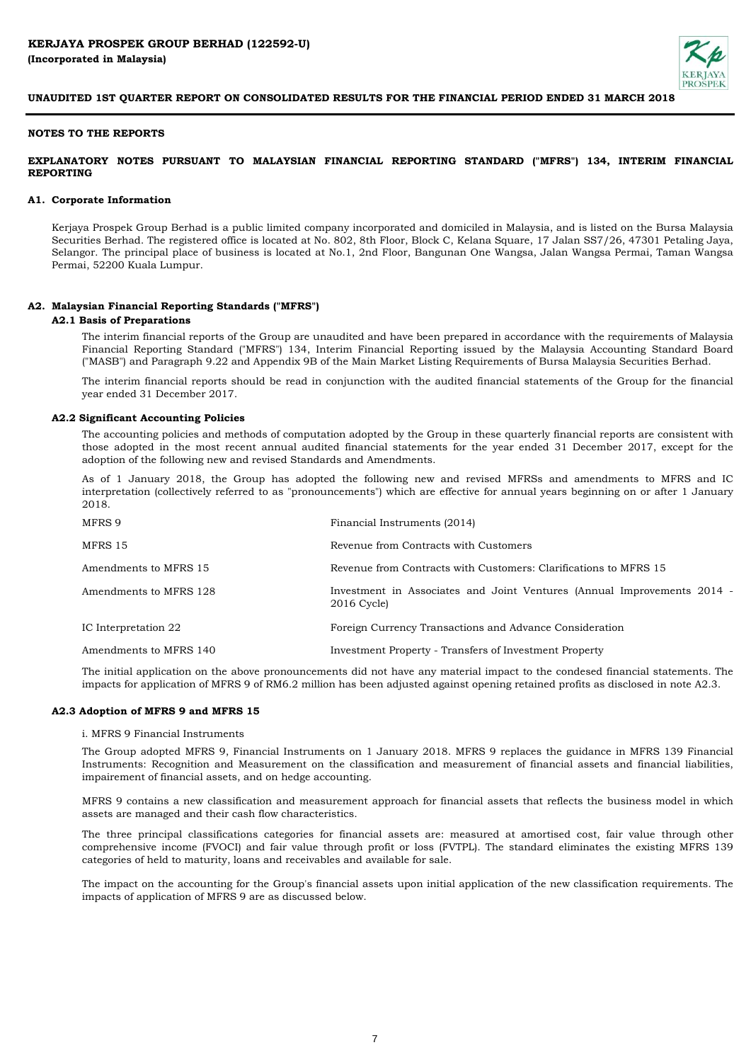

## **NOTES TO THE REPORTS**

## **EXPLANATORY NOTES PURSUANT TO MALAYSIAN FINANCIAL REPORTING STANDARD ("MFRS") 134, INTERIM FINANCIAL REPORTING**

#### **A1. Corporate Information**

Kerjaya Prospek Group Berhad is a public limited company incorporated and domiciled in Malaysia, and is listed on the Bursa Malaysia Securities Berhad. The registered office is located at No. 802, 8th Floor, Block C, Kelana Square, 17 Jalan SS7/26, 47301 Petaling Jaya, Selangor. The principal place of business is located at No.1, 2nd Floor, Bangunan One Wangsa, Jalan Wangsa Permai, Taman Wangsa Permai, 52200 Kuala Lumpur.

#### **A2. Malaysian Financial Reporting Standards ("MFRS")**

#### **A2.1 Basis of Preparations**

The interim financial reports of the Group are unaudited and have been prepared in accordance with the requirements of Malaysia Financial Reporting Standard ("MFRS") 134, Interim Financial Reporting issued by the Malaysia Accounting Standard Board ("MASB") and Paragraph 9.22 and Appendix 9B of the Main Market Listing Requirements of Bursa Malaysia Securities Berhad.

The interim financial reports should be read in conjunction with the audited financial statements of the Group for the financial year ended 31 December 2017.

#### **A2.2 Significant Accounting Policies**

The accounting policies and methods of computation adopted by the Group in these quarterly financial reports are consistent with those adopted in the most recent annual audited financial statements for the year ended 31 December 2017, except for the adoption of the following new and revised Standards and Amendments.

As of 1 January 2018, the Group has adopted the following new and revised MFRSs and amendments to MFRS and IC interpretation (collectively referred to as "pronouncements") which are effective for annual years beginning on or after 1 January 2018.

| Financial Instruments (2014)                                                                |
|---------------------------------------------------------------------------------------------|
| Revenue from Contracts with Customers                                                       |
| Revenue from Contracts with Customers: Clarifications to MFRS 15                            |
| Investment in Associates and Joint Ventures (Annual Improvements 2014 -<br>$2016$ Cycle $)$ |
| Foreign Currency Transactions and Advance Consideration                                     |
| Investment Property - Transfers of Investment Property                                      |
|                                                                                             |

The initial application on the above pronouncements did not have any material impact to the condesed financial statements. The impacts for application of MFRS 9 of RM6.2 million has been adjusted against opening retained profits as disclosed in note A2.3.

## **A2.3 Adoption of MFRS 9 and MFRS 15**

## i. MFRS 9 Financial Instruments

The Group adopted MFRS 9, Financial Instruments on 1 January 2018. MFRS 9 replaces the guidance in MFRS 139 Financial Instruments: Recognition and Measurement on the classification and measurement of financial assets and financial liabilities, impairement of financial assets, and on hedge accounting.

MFRS 9 contains a new classification and measurement approach for financial assets that reflects the business model in which assets are managed and their cash flow characteristics.

The three principal classifications categories for financial assets are: measured at amortised cost, fair value through other comprehensive income (FVOCI) and fair value through profit or loss (FVTPL). The standard eliminates the existing MFRS 139 categories of held to maturity, loans and receivables and available for sale.

The impact on the accounting for the Group's financial assets upon initial application of the new classification requirements. The impacts of application of MFRS 9 are as discussed below.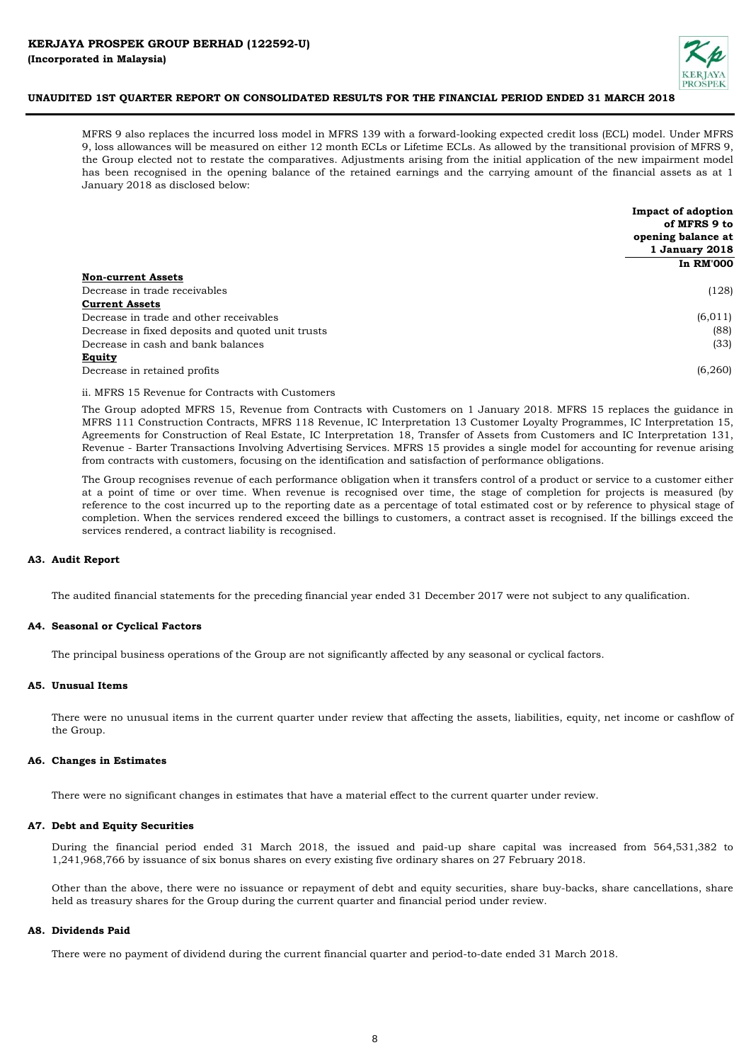

MFRS 9 also replaces the incurred loss model in MFRS 139 with a forward-looking expected credit loss (ECL) model. Under MFRS 9, loss allowances will be measured on either 12 month ECLs or Lifetime ECLs. As allowed by the transitional provision of MFRS 9, the Group elected not to restate the comparatives. Adjustments arising from the initial application of the new impairment model has been recognised in the opening balance of the retained earnings and the carrying amount of the financial assets as at 1 January 2018 as disclosed below:

|                                                   | <b>Impact of adoption</b><br>of MFRS 9 to |
|---------------------------------------------------|-------------------------------------------|
|                                                   | opening balance at                        |
|                                                   | 1 January 2018                            |
|                                                   | <b>In RM'000</b>                          |
| <b>Non-current Assets</b>                         |                                           |
| Decrease in trade receivables                     | (128)                                     |
| <b>Current Assets</b>                             |                                           |
| Decrease in trade and other receivables           | (6, 011)                                  |
| Decrease in fixed deposits and quoted unit trusts | (88)                                      |
| Decrease in cash and bank balances                | (33)                                      |
| <b>Equity</b>                                     |                                           |
| Decrease in retained profits                      | (6,260)                                   |

ii. MFRS 15 Revenue for Contracts with Customers

The Group adopted MFRS 15, Revenue from Contracts with Customers on 1 January 2018. MFRS 15 replaces the guidance in MFRS 111 Construction Contracts, MFRS 118 Revenue, IC Interpretation 13 Customer Loyalty Programmes, IC Interpretation 15, Agreements for Construction of Real Estate, IC Interpretation 18, Transfer of Assets from Customers and IC Interpretation 131, Revenue - Barter Transactions Involving Advertising Services. MFRS 15 provides a single model for accounting for revenue arising from contracts with customers, focusing on the identification and satisfaction of performance obligations.

The Group recognises revenue of each performance obligation when it transfers control of a product or service to a customer either at a point of time or over time. When revenue is recognised over time, the stage of completion for projects is measured (by reference to the cost incurred up to the reporting date as a percentage of total estimated cost or by reference to physical stage of completion. When the services rendered exceed the billings to customers, a contract asset is recognised. If the billings exceed the services rendered, a contract liability is recognised.

## **A3. Audit Report**

The audited financial statements for the preceding financial year ended 31 December 2017 were not subject to any qualification.

#### **A4. Seasonal or Cyclical Factors**

The principal business operations of the Group are not significantly affected by any seasonal or cyclical factors.

#### **A5. Unusual Items**

There were no unusual items in the current quarter under review that affecting the assets, liabilities, equity, net income or cashflow of the Group.

#### **A6. Changes in Estimates**

There were no significant changes in estimates that have a material effect to the current quarter under review.

#### **A7. Debt and Equity Securities**

During the financial period ended 31 March 2018, the issued and paid-up share capital was increased from 564,531,382 to 1,241,968,766 by issuance of six bonus shares on every existing five ordinary shares on 27 February 2018.

Other than the above, there were no issuance or repayment of debt and equity securities, share buy-backs, share cancellations, share held as treasury shares for the Group during the current quarter and financial period under review.

#### **A8. Dividends Paid**

There were no payment of dividend during the current financial quarter and period-to-date ended 31 March 2018.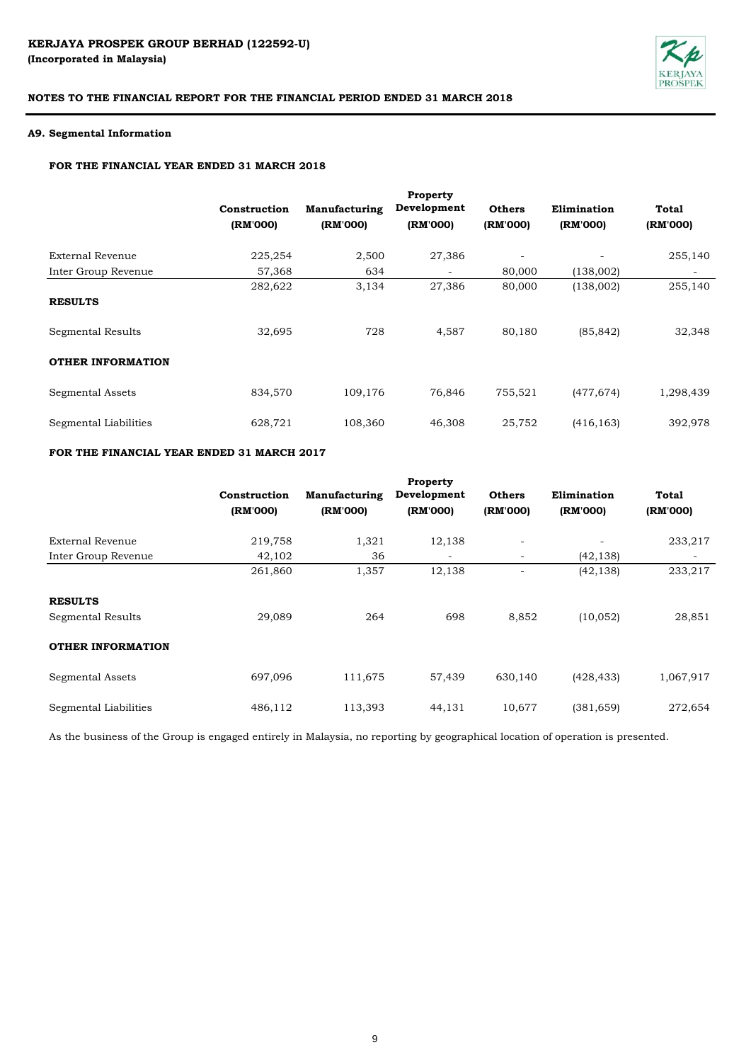

# **A9. Segmental Information**

# **FOR THE FINANCIAL YEAR ENDED 31 MARCH 2018**

|                          | Construction | Manufacturing | Development              | <b>Others</b>            | Elimination | <b>Total</b>             |
|--------------------------|--------------|---------------|--------------------------|--------------------------|-------------|--------------------------|
|                          | (RM'000)     | (RM'000)      | (RM'000)                 | (RM'000)                 | (RM'000)    | (RM'000)                 |
| External Revenue         | 225,254      | 2,500         | 27,386                   | $\overline{\phantom{a}}$ |             | 255,140                  |
| Inter Group Revenue      | 57,368       | 634           | $\overline{\phantom{a}}$ | 80,000                   | (138,002)   | $\overline{\phantom{a}}$ |
|                          | 282,622      | 3,134         | 27,386                   | 80,000                   | (138,002)   | 255,140                  |
| <b>RESULTS</b>           |              |               |                          |                          |             |                          |
| Segmental Results        | 32,695       | 728           | 4,587                    | 80,180                   | (85, 842)   | 32,348                   |
| <b>OTHER INFORMATION</b> |              |               |                          |                          |             |                          |
| Segmental Assets         | 834,570      | 109,176       | 76,846                   | 755,521                  | (477, 674)  | 1,298,439                |
| Segmental Liabilities    | 628,721      | 108,360       | 46,308                   | 25,752                   | (416, 163)  | 392,978                  |

# **FOR THE FINANCIAL YEAR ENDED 31 MARCH 2017**

|                          | Construction<br>(RM'000) | Manufacturing<br>(RM'000) | Property<br>Development<br>(RM'000) | <b>Others</b><br>(RM'000) | Elimination<br>(RM'000) | Total<br>(RM'000) |
|--------------------------|--------------------------|---------------------------|-------------------------------------|---------------------------|-------------------------|-------------------|
| External Revenue         | 219,758                  | 1,321                     | 12,138                              | $\overline{\phantom{a}}$  |                         | 233,217           |
| Inter Group Revenue      | 42,102                   | 36                        |                                     | $\overline{\phantom{a}}$  | (42, 138)               |                   |
|                          | 261,860                  | 1,357                     | 12,138                              |                           | (42, 138)               | 233,217           |
| <b>RESULTS</b>           |                          |                           |                                     |                           |                         |                   |
| Segmental Results        | 29,089                   | 264                       | 698                                 | 8,852                     | (10, 052)               | 28,851            |
| <b>OTHER INFORMATION</b> |                          |                           |                                     |                           |                         |                   |
| Segmental Assets         | 697,096                  | 111,675                   | 57,439                              | 630,140                   | (428, 433)              | 1,067,917         |
| Segmental Liabilities    | 486,112                  | 113,393                   | 44,131                              | 10.677                    | (381, 659)              | 272,654           |

As the business of the Group is engaged entirely in Malaysia, no reporting by geographical location of operation is presented.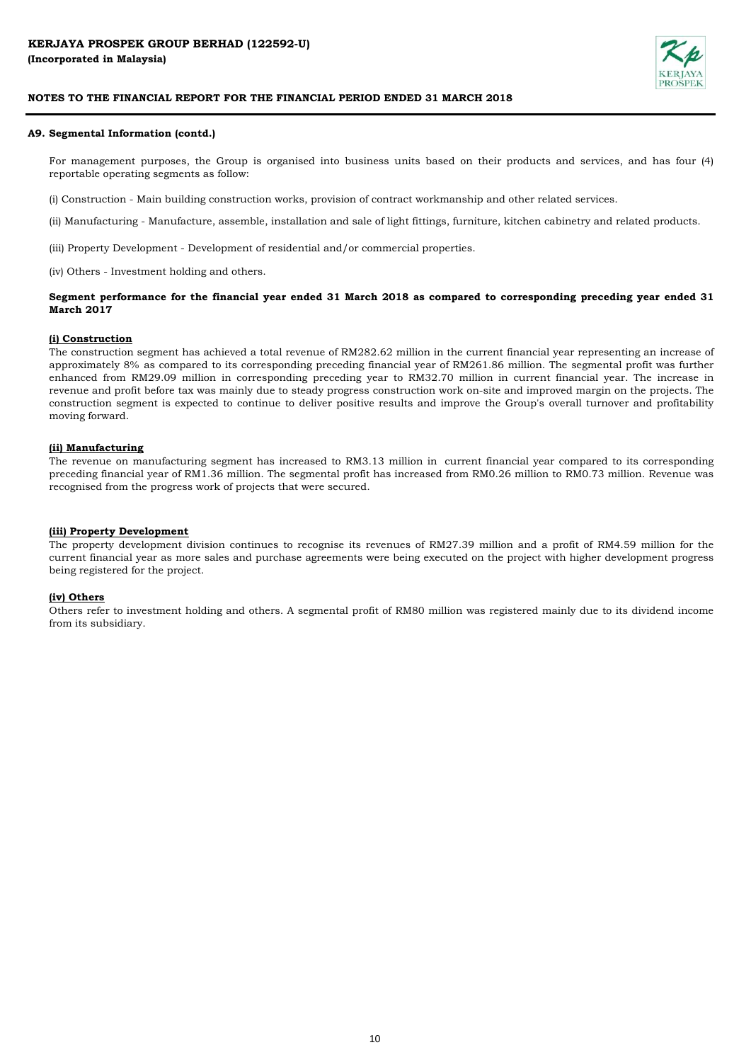

## **A9. Segmental Information (contd.)**

For management purposes, the Group is organised into business units based on their products and services, and has four (4) reportable operating segments as follow:

(i) Construction - Main building construction works, provision of contract workmanship and other related services.

(ii) Manufacturing - Manufacture, assemble, installation and sale of light fittings, furniture, kitchen cabinetry and related products.

(iii) Property Development - Development of residential and/or commercial properties.

(iv) Others - Investment holding and others.

## Segment performance for the financial year ended 31 March 2018 as compared to corresponding preceding year ended 31 **March 2017**

## **(i) Construction**

The construction segment has achieved a total revenue of RM282.62 million in the current financial year representing an increase of approximately 8% as compared to its corresponding preceding financial year of RM261.86 million. The segmental profit was further enhanced from RM29.09 million in corresponding preceding year to RM32.70 million in current financial year. The increase in revenue and profit before tax was mainly due to steady progress construction work on-site and improved margin on the projects. The construction segment is expected to continue to deliver positive results and improve the Group's overall turnover and profitability moving forward.

#### **(ii) Manufacturing**

The revenue on manufacturing segment has increased to RM3.13 million in current financial year compared to its corresponding preceding financial year of RM1.36 million. The segmental profit has increased from RM0.26 million to RM0.73 million. Revenue was recognised from the progress work of projects that were secured.

#### **(iii) Property Development**

The property development division continues to recognise its revenues of RM27.39 million and a profit of RM4.59 million for the current financial year as more sales and purchase agreements were being executed on the project with higher development progress being registered for the project.

#### **(iv) Others**

Others refer to investment holding and others. A segmental profit of RM80 million was registered mainly due to its dividend income from its subsidiary.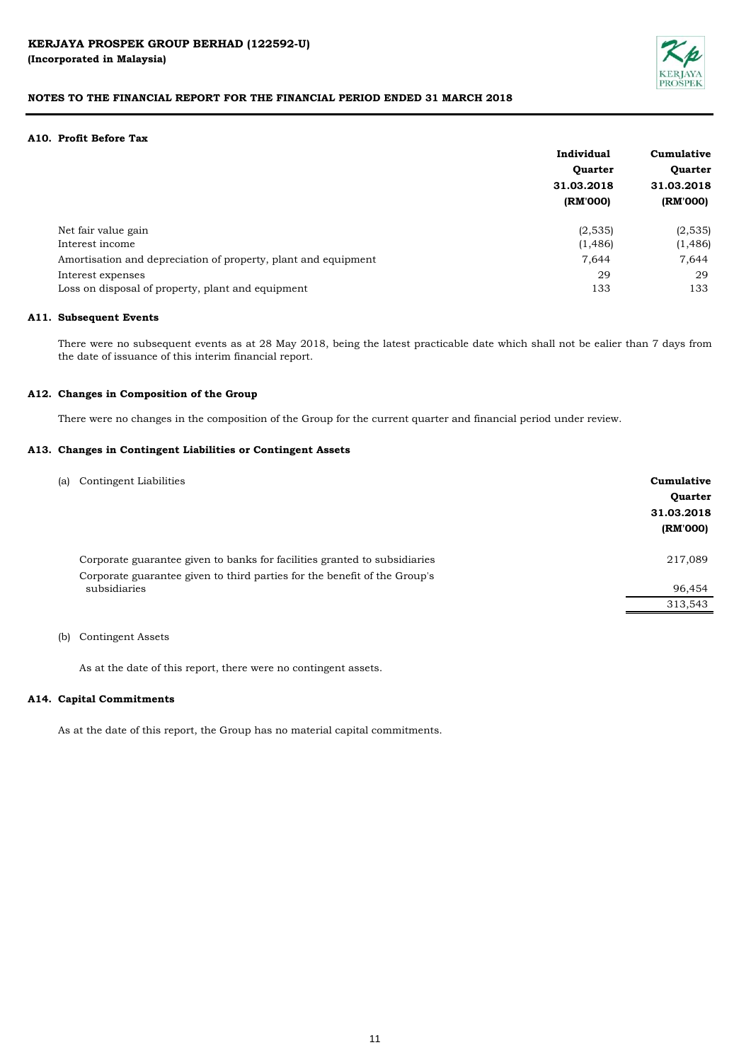

## **A10. Profit Before Tax**

|                                                                | Individual                   | Cumulative     |  |
|----------------------------------------------------------------|------------------------------|----------------|--|
|                                                                | <b>Ouarter</b><br>31.03.2018 | <b>Quarter</b> |  |
|                                                                |                              | 31.03.2018     |  |
|                                                                | (RM'000)                     | (RM'000)       |  |
| Net fair value gain                                            | (2,535)                      | (2,535)        |  |
| Interest income                                                | (1, 486)                     | (1, 486)       |  |
| Amortisation and depreciation of property, plant and equipment | 7,644                        | 7,644          |  |
| Interest expenses                                              | 29                           | 29             |  |
| Loss on disposal of property, plant and equipment              | 133                          | 133            |  |

#### **A11. Subsequent Events**

There were no subsequent events as at 28 May 2018, being the latest practicable date which shall not be ealier than 7 days from the date of issuance of this interim financial report.

#### **A12. Changes in Composition of the Group**

There were no changes in the composition of the Group for the current quarter and financial period under review.

#### **A13. Changes in Contingent Liabilities or Contingent Assets**

| (a) | Contingent Liabilities                                                                    | Cumulative<br><b>Quarter</b><br>31.03.2018<br>(RM'000) |
|-----|-------------------------------------------------------------------------------------------|--------------------------------------------------------|
|     | Corporate guarantee given to banks for facilities granted to subsidiaries                 | 217,089                                                |
|     | Corporate guarantee given to third parties for the benefit of the Group's<br>subsidiaries | 96,454                                                 |
|     |                                                                                           | 313,543                                                |
|     |                                                                                           |                                                        |

## (b) Contingent Assets

As at the date of this report, there were no contingent assets.

#### **A14. Capital Commitments**

As at the date of this report, the Group has no material capital commitments.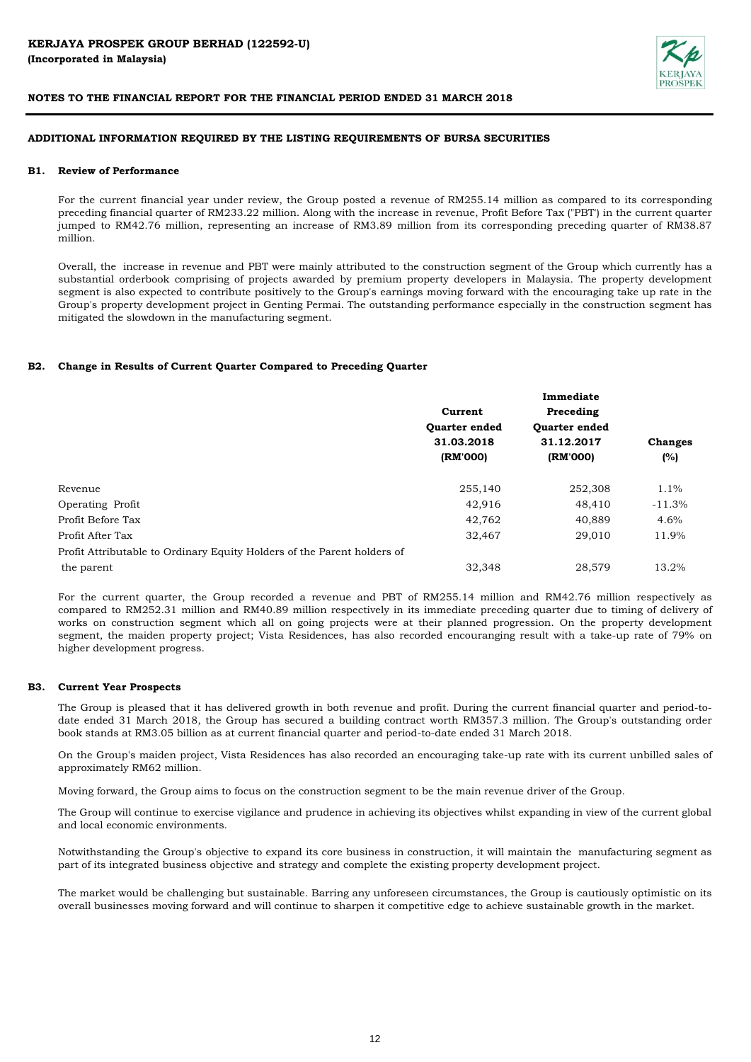

# **ADDITIONAL INFORMATION REQUIRED BY THE LISTING REQUIREMENTS OF BURSA SECURITIES**

## **B1. Review of Performance**

For the current financial year under review, the Group posted a revenue of RM255.14 million as compared to its corresponding preceding financial quarter of RM233.22 million. Along with the increase in revenue, Profit Before Tax ("PBT') in the current quarter jumped to RM42.76 million, representing an increase of RM3.89 million from its corresponding preceding quarter of RM38.87 million.

Overall, the increase in revenue and PBT were mainly attributed to the construction segment of the Group which currently has a substantial orderbook comprising of projects awarded by premium property developers in Malaysia. The property development segment is also expected to contribute positively to the Group's earnings moving forward with the encouraging take up rate in the Group's property development project in Genting Permai. The outstanding performance especially in the construction segment has mitigated the slowdown in the manufacturing segment.

#### **B2. Change in Results of Current Quarter Compared to Preceding Quarter**

|                                                                         | Immediate                                     |                      |                |  |  |  |  |
|-------------------------------------------------------------------------|-----------------------------------------------|----------------------|----------------|--|--|--|--|
|                                                                         | Current<br><b>Ouarter ended</b><br>31.03.2018 | Preceding            |                |  |  |  |  |
|                                                                         |                                               | <b>Ouarter ended</b> |                |  |  |  |  |
|                                                                         |                                               | 31.12.2017           | <b>Changes</b> |  |  |  |  |
|                                                                         | (RM'000)                                      | (RM'000)             | (%)            |  |  |  |  |
| Revenue                                                                 | 255,140                                       | 252,308              | $1.1\%$        |  |  |  |  |
| <b>Operating Profit</b>                                                 | 42,916                                        | 48,410               | $-11.3%$       |  |  |  |  |
| Profit Before Tax                                                       | 42,762                                        | 40,889               | 4.6%           |  |  |  |  |
| Profit After Tax                                                        | 32,467                                        | 29,010               | 11.9%          |  |  |  |  |
| Profit Attributable to Ordinary Equity Holders of the Parent holders of |                                               |                      |                |  |  |  |  |
| the parent                                                              | 32,348                                        | 28.579               | 13.2%          |  |  |  |  |

For the current quarter, the Group recorded a revenue and PBT of RM255.14 million and RM42.76 million respectively as compared to RM252.31 million and RM40.89 million respectively in its immediate preceding quarter due to timing of delivery of works on construction segment which all on going projects were at their planned progression. On the property development segment, the maiden property project; Vista Residences, has also recorded encouranging result with a take-up rate of 79% on higher development progress.

#### **B3. Current Year Prospects**

The Group is pleased that it has delivered growth in both revenue and profit. During the current financial quarter and period-todate ended 31 March 2018, the Group has secured a building contract worth RM357.3 million. The Group's outstanding order book stands at RM3.05 billion as at current financial quarter and period-to-date ended 31 March 2018.

On the Group's maiden project, Vista Residences has also recorded an encouraging take-up rate with its current unbilled sales of approximately RM62 million.

Moving forward, the Group aims to focus on the construction segment to be the main revenue driver of the Group.

The Group will continue to exercise vigilance and prudence in achieving its objectives whilst expanding in view of the current global and local economic environments.

Notwithstanding the Group's objective to expand its core business in construction, it will maintain the manufacturing segment as part of its integrated business objective and strategy and complete the existing property development project.

The market would be challenging but sustainable. Barring any unforeseen circumstances, the Group is cautiously optimistic on its overall businesses moving forward and will continue to sharpen it competitive edge to achieve sustainable growth in the market.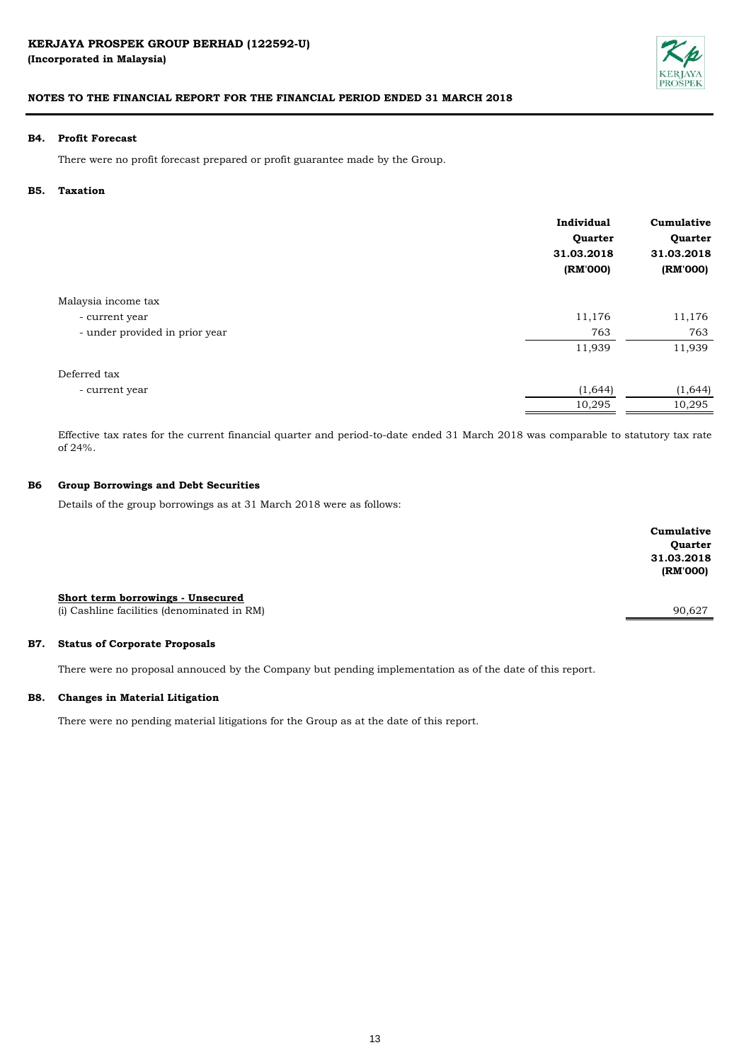

## **B4. Profit Forecast**

There were no profit forecast prepared or profit guarantee made by the Group.

#### **B5. Taxation**

|                                | Individual<br>Quarter<br>31.03.2018<br>(RM'000) | Cumulative<br>Quarter<br>31.03.2018<br>(RM'000) |
|--------------------------------|-------------------------------------------------|-------------------------------------------------|
| Malaysia income tax            |                                                 |                                                 |
| - current year                 | 11,176                                          | 11,176                                          |
| - under provided in prior year | 763                                             | 763                                             |
|                                | 11,939                                          | 11,939                                          |
| Deferred tax                   |                                                 |                                                 |
| - current year                 | (1,644)                                         | (1, 644)                                        |
|                                | 10,295                                          | 10,295                                          |

Effective tax rates for the current financial quarter and period-to-date ended 31 March 2018 was comparable to statutory tax rate of 24%.

#### **B6 Group Borrowings and Debt Securities**

Details of the group borrowings as at 31 March 2018 were as follows:

|                                             | Cumulative |
|---------------------------------------------|------------|
|                                             | Quarter    |
|                                             | 31.03.2018 |
|                                             | (RM'000)   |
|                                             |            |
| Short term borrowings - Unsecured           |            |
| (i) Cashline facilities (denominated in RM) | 90,627     |
|                                             |            |

#### **B7. Status of Corporate Proposals**

There were no proposal annouced by the Company but pending implementation as of the date of this report.

## **B8. Changes in Material Litigation**

There were no pending material litigations for the Group as at the date of this report.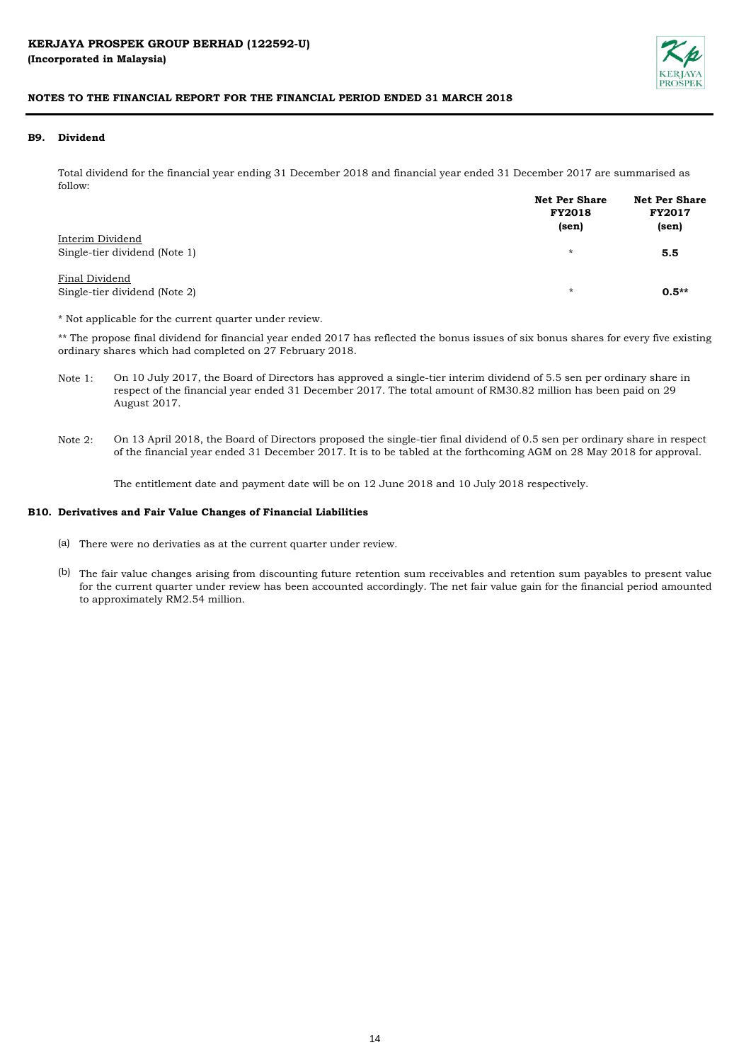

#### **B9. Dividend**

Total dividend for the financial year ending 31 December 2018 and financial year ended 31 December 2017 are summarised as follow:

|                                                   | <b>Net Per Share</b><br><b>FY2018</b><br>(sen) | <b>Net Per Share</b><br><b>FY2017</b><br>(sen) |
|---------------------------------------------------|------------------------------------------------|------------------------------------------------|
| Interim Dividend<br>Single-tier dividend (Note 1) | $\star$                                        | 5.5                                            |
| Final Dividend<br>Single-tier dividend (Note 2)   | $\star$                                        | $0.5**$                                        |

\* Not applicable for the current quarter under review.

\*\* The propose final dividend for financial year ended 2017 has reflected the bonus issues of six bonus shares for every five existing ordinary shares which had completed on 27 February 2018.

- Note 1: On 10 July 2017, the Board of Directors has approved a single-tier interim dividend of 5.5 sen per ordinary share in respect of the financial year ended 31 December 2017. The total amount of RM30.82 million has been paid on 29 August 2017.
- Note 2: On 13 April 2018, the Board of Directors proposed the single-tier final dividend of 0.5 sen per ordinary share in respect of the financial year ended 31 December 2017. It is to be tabled at the forthcoming AGM on 28 May 2018 for approval.

The entitlement date and payment date will be on 12 June 2018 and 10 July 2018 respectively.

#### **B10. Derivatives and Fair Value Changes of Financial Liabilities**

- (a) There were no derivaties as at the current quarter under review.
- (b) The fair value changes arising from discounting future retention sum receivables and retention sum payables to present value for the current quarter under review has been accounted accordingly. The net fair value gain for the financial period amounted to approximately RM2.54 million.